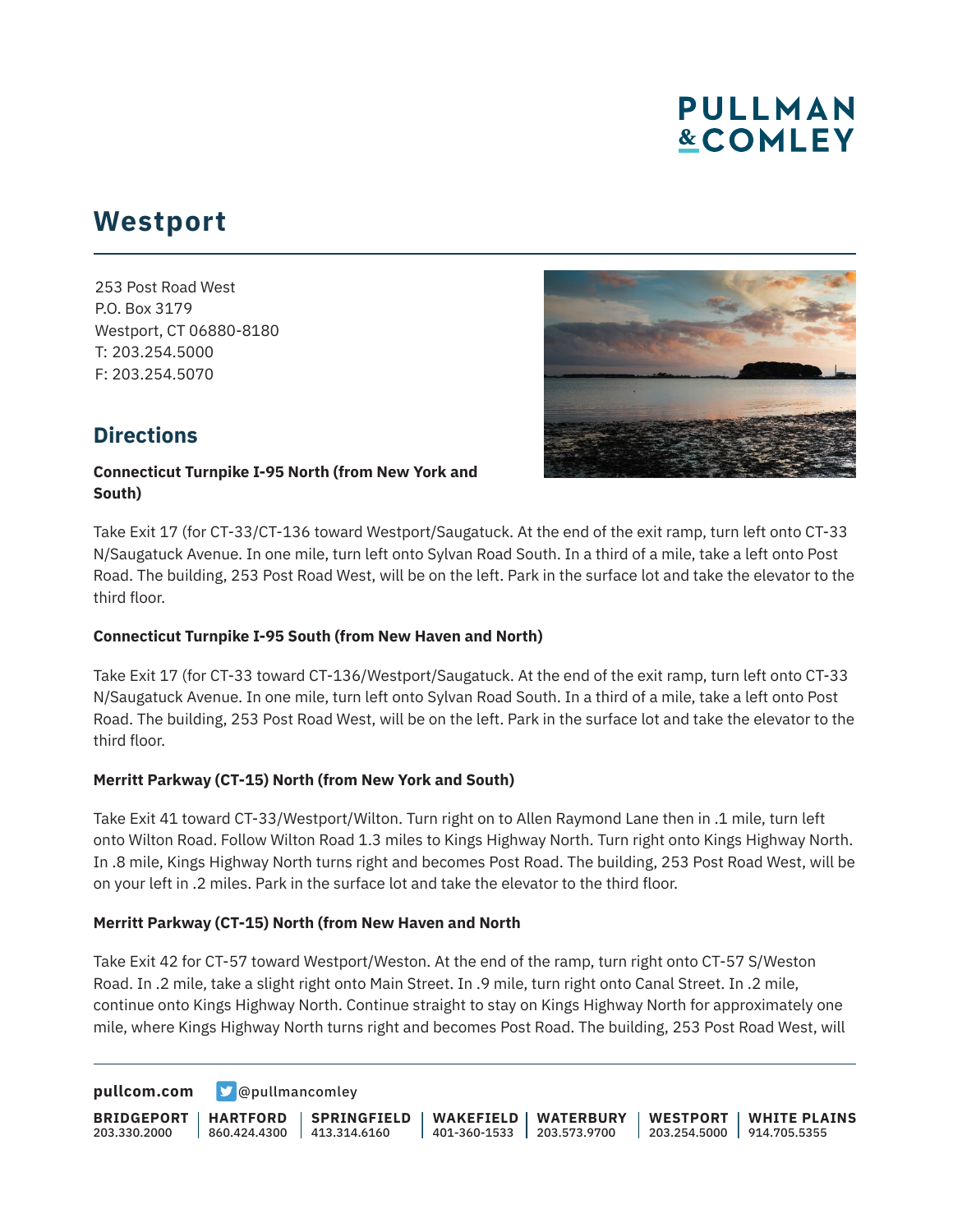# **PULLMAN &COMLEY**

## **Westport**

253 Post Road West P.O. Box 3179 Westport, CT 06880-8180 T: 203.254.5000 F: 203.254.5070



### **Directions**

#### **Connecticut Turnpike I-95 North (from New York and South)**

Take Exit 17 (for CT-33/CT-136 toward Westport/Saugatuck. At the end of the exit ramp, turn left onto CT-33 N/Saugatuck Avenue. In one mile, turn left onto Sylvan Road South. In a third of a mile, take a left onto Post Road. The building, 253 Post Road West, will be on the left. Park in the surface lot and take the elevator to the third floor.

#### **Connecticut Turnpike I-95 South (from New Haven and North)**

Take Exit 17 (for CT-33 toward CT-136/Westport/Saugatuck. At the end of the exit ramp, turn left onto CT-33 N/Saugatuck Avenue. In one mile, turn left onto Sylvan Road South. In a third of a mile, take a left onto Post Road. The building, 253 Post Road West, will be on the left. Park in the surface lot and take the elevator to the third floor.

#### **Merritt Parkway (CT-15) North (from New York and South)**

Take Exit 41 toward CT-33/Westport/Wilton. Turn right on to Allen Raymond Lane then in .1 mile, turn left onto Wilton Road. Follow Wilton Road 1.3 miles to Kings Highway North. Turn right onto Kings Highway North. In .8 mile, Kings Highway North turns right and becomes Post Road. The building, 253 Post Road West, will be on your left in .2 miles. Park in the surface lot and take the elevator to the third floor.

#### **Merritt Parkway (CT-15) North (from New Haven and North**

Take Exit 42 for CT-57 toward Westport/Weston. At the end of the ramp, turn right onto CT-57 S/Weston Road. In .2 mile, take a slight right onto Main Street. In .9 mile, turn right onto Canal Street. In .2 mile, continue onto Kings Highway North. Continue straight to stay on Kings Highway North for approximately one mile, where Kings Highway North turns right and becomes Post Road. The building, 253 Post Road West, will

**[pullcom.com](https://www.pullcom.com) g** [@pullmancomley](https://twitter.com/PullmanComley)

**BRIDGEPORT** 203.330.2000 **HARTFORD** 860.424.4300 413.314.6160 **SPRINGFIELD WAKEFIELD** 401-360-1533 203.573.9700 **WATERBURY WESTPORT** 203.254.5000 914.705.5355 **WHITE PLAINS**